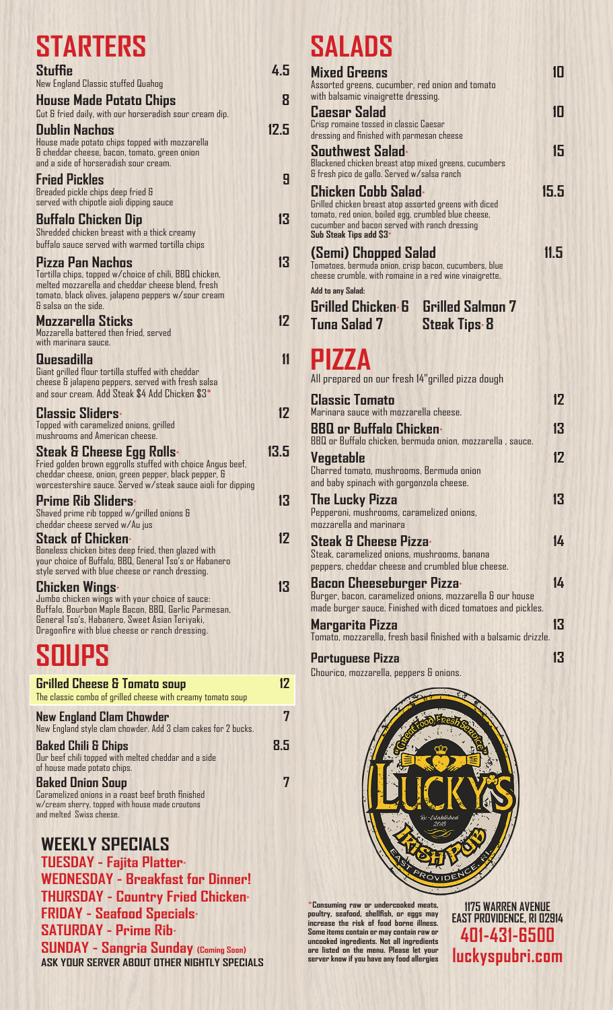## **STARTERS**

| e i aint-re                                                                                                                                                                                                                        |      |
|------------------------------------------------------------------------------------------------------------------------------------------------------------------------------------------------------------------------------------|------|
| Stuffie                                                                                                                                                                                                                            | 4.5  |
| New England Classic stuffed Quahog                                                                                                                                                                                                 |      |
| House Made Potato Chips<br>Cut & fried daily, with our horseradish sour cream dip.                                                                                                                                                 | 8    |
| <b>Dublin Nachos</b><br>House made potato chips topped with mozzarella<br>& cheddar cheese, bacon, tomato, green onion<br>and a side of horseradish sour cream.                                                                    | 12.5 |
| <b>Fried Pickles</b><br>Breaded pickle chips deep fried &<br>served with chipotle aioli dipping sauce                                                                                                                              | 9    |
| <b>Buffalo Chicken Dip</b><br>Shredded chicken breast with a thick creamy<br>buffalo sauce served with warmed tortilla chips                                                                                                       | 13   |
| Pizza Pan Nachos<br>Tortilla chips, topped w/choice of chili, BBQ chicken,<br>melted mozzarella and cheddar cheese blend, fresh<br>tomato, black olives, jalapeno peppers w/sour cream<br>& salsa on the side.                     | 13   |
| Mozzarella Sticks<br>Mozzarella battered then fried, served<br>with marinara sauce.                                                                                                                                                | 12   |
| <b>Quesadilla</b><br>Giant grilled flour tortilla stuffed with cheddar<br>cheese & jalapeno peppers, served with fresh salsa<br>and sour cream. Add Steak \$4 Add Chicken \$3*                                                     | 11   |
| <b>Classic Sliders</b><br>Topped with caramelized onions, grilled<br>mushrooms and American cheese.                                                                                                                                | 12   |
| <b>Steak &amp; Cheese Egg Rolls:</b><br>Fried golden brown eggrolls stuffed with choice Angus beef,<br>cheddar cheese, onion, green pepper, black pepper, &<br>worcestershire sauce. Served w/steak sauce aioli for dipping        | 13.5 |
| <b>Prime Rib Sliders</b> *<br>Shaved prime rib topped w/grilled onions &<br>cheddar cheese served w/Au jus                                                                                                                         | 13   |
| <b>Stack of Chicken</b> *<br>Boneless chicken bites deep fried, then glazed with<br>your choice of Buffalo, BBQ, General Tso's or Habanero<br>style served with blue cheese or ranch dressing.                                     | 12   |
| <b>Chicken Wings*</b><br>Jumbo chicken wings with your choice of sauce:<br>Buffalo, Bourbon Maple Bacon, BBQ, Garlic Parmesan,<br>General Tso's, Habanero, Sweet Asian Teriyaki,<br>Dragonfire with blue cheese or ranch dressing. | 13   |
|                                                                                                                                                                                                                                    |      |

### **SOUPS**

| <b>Grilled Cheese &amp; Tomato soup</b><br>The classic combo of grilled cheese with creamy tomato soup                                                      | 17  |
|-------------------------------------------------------------------------------------------------------------------------------------------------------------|-----|
| <b>New England Clam Chowder</b><br>New England style clam chowder. Add 3 clam cakes for 2 bucks.                                                            |     |
| <b>Baked Chili &amp; Chips</b><br>Our beef chili topped with melted cheddar and a side<br>of house made potato chips.                                       | 8.5 |
| <b>Baked Onion Soup</b><br>Caramelized onions in a roast beef broth finished<br>w/cream sherry, topped with house made croutons<br>and melted Swiss cheese. |     |

#### **WEEKLY SPECIALS**

**TUESDAY - Fajita Platter**\* **WEDNESDAY - Breakfast for Dinner! THURSDAY - Country Fried Chicken**\* **FRIDAY - Seafood Specials**\* **SATURDAY - Prime Rib-SUNDAY - Sangria Sunday (Coming Soon) ASK YOUR SERVER ABOUT OTHER NIGHTLY SPECIALS** 

# **SALADS**

| SALADS                                                                                                                                                                                                            |      |
|-------------------------------------------------------------------------------------------------------------------------------------------------------------------------------------------------------------------|------|
| <b>Mixed Greens</b><br>Assorted greens, cucumber, red onion and tomato<br>with balsamic vinaigrette dressing.                                                                                                     | 10   |
| <b>Caesar Salad</b><br>Crisp romaine tossed in classic Caesar<br>dressing and finished with parmesan cheese                                                                                                       | 1Π   |
| Southwest Salad*<br>Blackened chicken breast atop mixed greens, cucumbers<br>& fresh pico de gallo. Served w/salsa ranch                                                                                          | 15   |
| Chicken Cobb Salad+<br>Grilled chicken breast atop assorted greens with diced<br>tomato, red onion, boiled egg, crumbled blue cheese,<br>cucumber and bacon served with ranch dressing<br>Sub Steak Tips add \$3* | 15.5 |
| (Semi) Chopped Salad<br>Tomatoes, bermuda onion, crisp bacon, cucumbers, blue<br>cheese crumble, with romaine in a red wine vinaigrette.                                                                          | 11.5 |
| Add to any Salad:                                                                                                                                                                                                 |      |
| <b>Grilled Chicken 6 Grilled Salmon 7</b>                                                                                                                                                                         |      |
| Tuna Salad 7<br><b>Steak Tips 8</b>                                                                                                                                                                               |      |
|                                                                                                                                                                                                                   |      |
| PIZZA                                                                                                                                                                                                             |      |
|                                                                                                                                                                                                                   |      |
| All prepared on our fresh 14"grilled pizza dough                                                                                                                                                                  |      |
| <b>Classic Tomato</b>                                                                                                                                                                                             | 12   |
| Marinara sauce with mozzarella cheese.                                                                                                                                                                            |      |
| <b>BBQ or Buffalo Chicken</b>                                                                                                                                                                                     | 13   |
| BBQ or Buffalo chicken, bermuda onion, mozzarella, sauce.                                                                                                                                                         |      |
|                                                                                                                                                                                                                   | 17   |
| <b>Vegetable</b><br>Charred tomato, mushrooms, Bermuda onion                                                                                                                                                      |      |
| and baby spinach with gorgonzola cheese.                                                                                                                                                                          |      |
|                                                                                                                                                                                                                   |      |
| <b>The Lucky Pizza</b>                                                                                                                                                                                            | 13   |
| Pepperoni, mushrooms, caramelized onions,<br>mozzarella and marinara                                                                                                                                              |      |
|                                                                                                                                                                                                                   |      |
| <b>Steak &amp; Cheese Pizza-</b>                                                                                                                                                                                  | 14   |
| Steak, caramelized onions, mushrooms, banana                                                                                                                                                                      |      |
| peppers, cheddar cheese and crumbled blue cheese.                                                                                                                                                                 |      |
| Bacon Cheeseburger Pizza+                                                                                                                                                                                         | 14   |
| Burger, bacon, caramelized onions, mozzarella & our house                                                                                                                                                         |      |
| made burger sauce. Finished with diced tomatoes and pickles.                                                                                                                                                      |      |
| Margarita Pizza                                                                                                                                                                                                   | 13   |
| Tomato, mozzarella, fresh basil finished with a balsamic drizzle.                                                                                                                                                 |      |
|                                                                                                                                                                                                                   |      |
|                                                                                                                                                                                                                   | 13   |
| Portuguese Pizza<br>Chourico, mozzarella, peppers & onions.                                                                                                                                                       |      |



\***Consuming raw or undercooked meats, poultry, seafood, shellfish, or eggs may increase the risk of food borne illness. Some itemscontain or maycontain raw or uncooked ingredients. Not all ingredients are listed on the menu. Please let your serverknow ifyou have anyfood allergies**

**1175 WARREN AVENUE EAST PROVIDENCE, RI 02914 401-431-6500 luckyspubri.com**